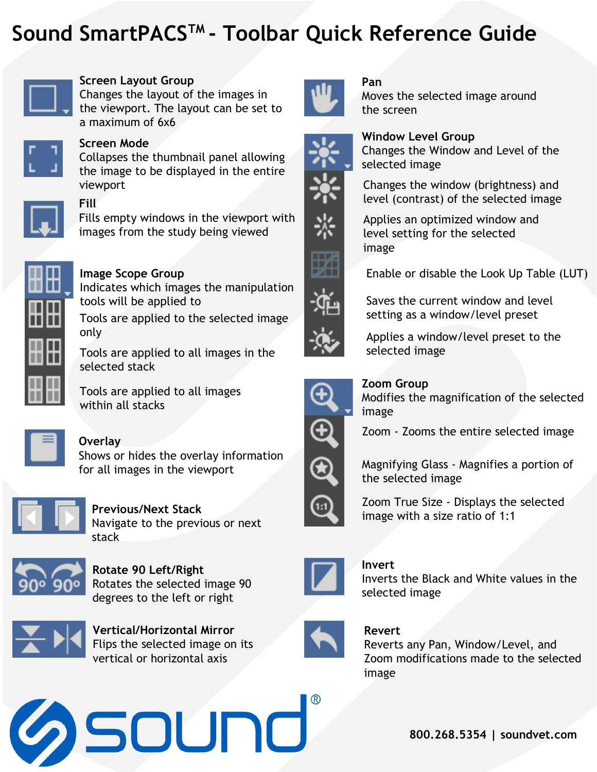# Sound SmartPACSTM - Toolbar Quick Reference Guide



### Screen Layout Group

Changes the layout of the images in the viewport. The layout can be set to a maximum of 6x6



#### Screen Mode

Collapses the thumbnail panel allowing the image to be displayed in the entire viewport



# Fill

Fills empty windows in the viewport with images from the study being viewed



# Image Scope Group

Indicates which images the manipulation tools will be applied to

Tools are applied to the selected image only

Tools are applied to all images in the selected stack

Tools are applied to all images within all stacks

**Overlay** Shows or hides the overlay information

for all images in the viewport



Previous/Next Stack Navigate to the previous or next stack



Rotate 90 Left/Right Rotates the selected image 90 degrees to the left or right



Vertical/Horizontal Mirror Flips the selected image on its vertical or horizontal axis

sound



# Pan

Window Level Group

Moves the selected image around the screen





Changes the window (brightness) and level (contrast) of the selected image

Applies an optimized window and level setting for the selected image



Enable or disable the Look Up Table (LUT)

Saves the current window and level setting as a window/level preset

Applies a window/level preset to the selected image



## Zoom Group

Modifies the magnification of the selected image

Zoom - Zooms the entire selected image



Magnifying Glass - Magnifies a portion of the selected image

Zoom True Size - Displays the selected image with a size ratio of 1:1



#### Invert

Inverts the Black and White values in the selected image



#### Revert

Reverts any Pan, Window/Level, and Zoom modifications made to the selected image